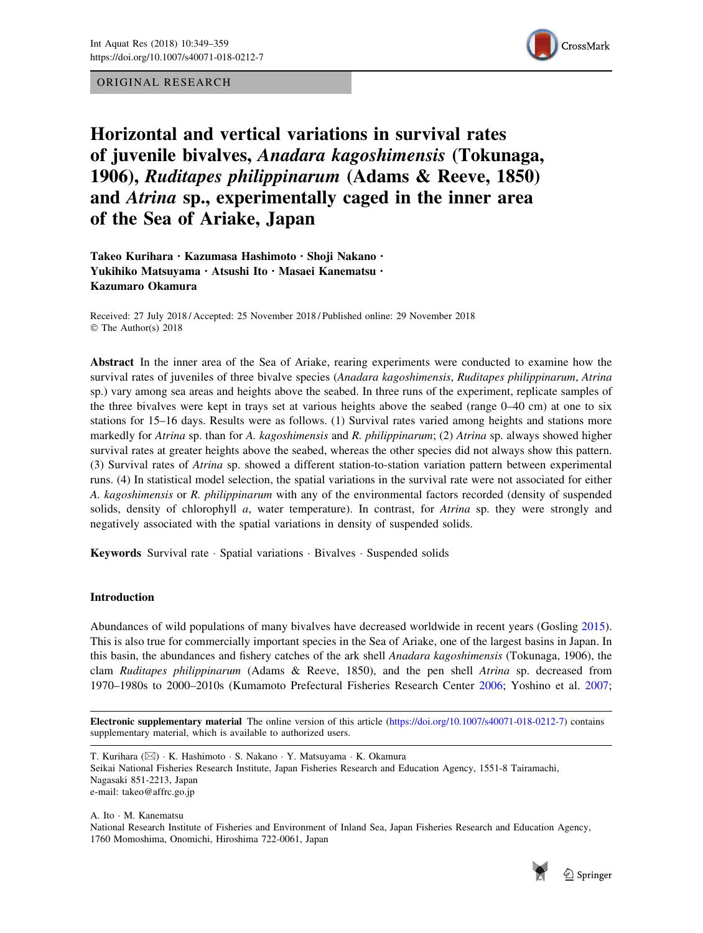ORIGINAL RESEARCH



Horizontal and vertical variations in survival rates of juvenile bivalves, Anadara kagoshimensis (Tokunaga, 1906), Ruditapes philippinarum (Adams & Reeve, 1850) and Atrina sp., experimentally caged in the inner area of the Sea of Ariake, Japan

Takeo Kurihara · Kazumasa Hashimoto · Shoji Nakano · Yukihiko Matsuyama · Atsushi Ito · Masaei Kanematsu · Kazumaro Okamura

Received: 27 July 2018 / Accepted: 25 November 2018 / Published online: 29 November 2018 © The Author(s) 2018

Abstract In the inner area of the Sea of Ariake, rearing experiments were conducted to examine how the survival rates of juveniles of three bivalve species (Anadara kagoshimensis, Ruditapes philippinarum, Atrina sp.) vary among sea areas and heights above the seabed. In three runs of the experiment, replicate samples of the three bivalves were kept in trays set at various heights above the seabed (range 0–40 cm) at one to six stations for 15–16 days. Results were as follows. (1) Survival rates varied among heights and stations more markedly for Atrina sp. than for A. kagoshimensis and R. philippinarum; (2) Atrina sp. always showed higher survival rates at greater heights above the seabed, whereas the other species did not always show this pattern. (3) Survival rates of Atrina sp. showed a different station-to-station variation pattern between experimental runs. (4) In statistical model selection, the spatial variations in the survival rate were not associated for either A. kagoshimensis or R. philippinarum with any of the environmental factors recorded (density of suspended solids, density of chlorophyll a, water temperature). In contrast, for *Atrina* sp. they were strongly and negatively associated with the spatial variations in density of suspended solids.

Keywords Survival rate · Spatial variations · Bivalves · Suspended solids

# Introduction

Abundances of wild populations of many bivalves have decreased worldwide in recent years (Gosling [2015\)](#page-9-0). This is also true for commercially important species in the Sea of Ariake, one of the largest basins in Japan. In this basin, the abundances and fishery catches of the ark shell Anadara kagoshimensis (Tokunaga, 1906), the clam Ruditapes philippinarum (Adams & Reeve, 1850), and the pen shell Atrina sp. decreased from 1970–1980s to 2000–2010s (Kumamoto Prefectural Fisheries Research Center [2006](#page-9-0); Yoshino et al. [2007;](#page-10-0)

Electronic supplementary material The online version of this article [\(https://doi.org/10.1007/s40071-018-0212-7\)](https://doi.org/10.1007/s40071-018-0212-7) contains supplementary material, which is available to authorized users.

T. Kurihara (⊠) · K. Hashimoto · S. Nakano · Y. Matsuyama · K. Okamura Seikai National Fisheries Research Institute, Japan Fisheries Research and Education Agency, 1551-8 Tairamachi, Nagasaki 851-2213, Japan e-mail: takeo@affrc.go.jp

A. Ito - M. Kanematsu National Research Institute of Fisheries and Environment of Inland Sea, Japan Fisheries Research and Education Agency, 1760 Momoshima, Onomichi, Hiroshima 722-0061, Japan

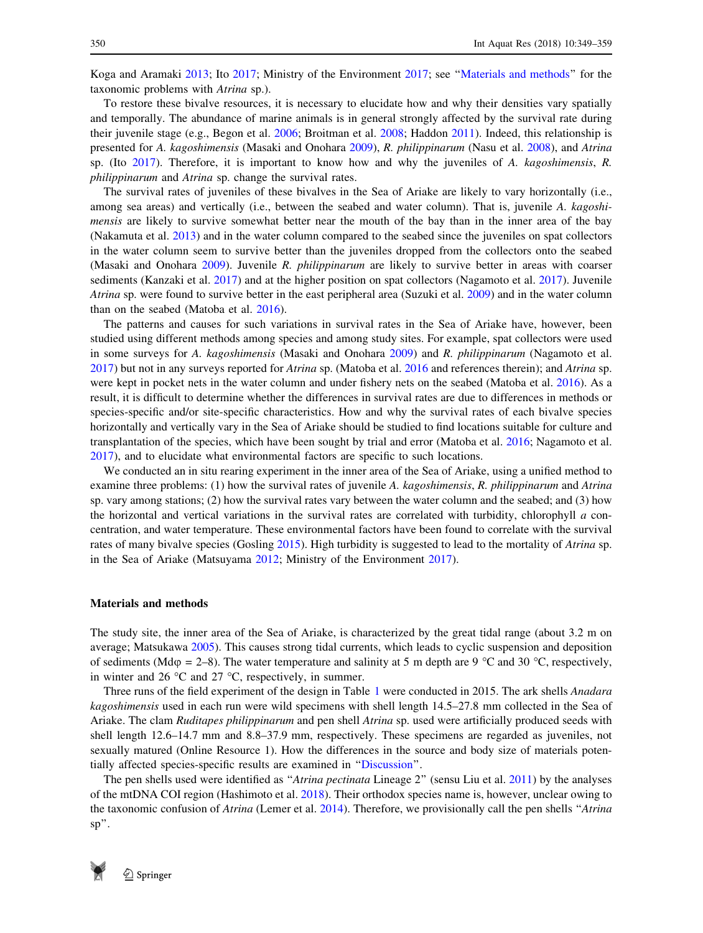Koga and Aramaki [2013](#page-9-0); Ito [2017](#page-9-0); Ministry of the Environment [2017](#page-9-0); see ''Materials and methods'' for the taxonomic problems with Atrina sp.).

To restore these bivalve resources, it is necessary to elucidate how and why their densities vary spatially and temporally. The abundance of marine animals is in general strongly affected by the survival rate during their juvenile stage (e.g., Begon et al. [2006](#page-9-0); Broitman et al. [2008](#page-9-0); Haddon [2011\)](#page-9-0). Indeed, this relationship is presented for A. kagoshimensis (Masaki and Onohara [2009](#page-9-0)), R. philippinarum (Nasu et al. [2008\)](#page-10-0), and Atrina sp. (Ito  $2017$ ). Therefore, it is important to know how and why the juveniles of A. kagoshimensis, R. philippinarum and Atrina sp. change the survival rates.

The survival rates of juveniles of these bivalves in the Sea of Ariake are likely to vary horizontally (i.e., among sea areas) and vertically (i.e., between the seabed and water column). That is, juvenile A. kagoshimensis are likely to survive somewhat better near the mouth of the bay than in the inner area of the bay (Nakamuta et al. [2013](#page-9-0)) and in the water column compared to the seabed since the juveniles on spat collectors in the water column seem to survive better than the juveniles dropped from the collectors onto the seabed (Masaki and Onohara [2009](#page-9-0)). Juvenile R. philippinarum are likely to survive better in areas with coarser sediments (Kanzaki et al. [2017](#page-9-0)) and at the higher position on spat collectors (Nagamoto et al. [2017\)](#page-9-0). Juvenile Atrina sp. were found to survive better in the east peripheral area (Suzuki et al. [2009\)](#page-10-0) and in the water column than on the seabed (Matoba et al. [2016](#page-9-0)).

The patterns and causes for such variations in survival rates in the Sea of Ariake have, however, been studied using different methods among species and among study sites. For example, spat collectors were used in some surveys for A. kagoshimensis (Masaki and Onohara [2009](#page-9-0)) and R. philippinarum (Nagamoto et al. [2017](#page-9-0)) but not in any surveys reported for Atrina sp. (Matoba et al. [2016](#page-9-0) and references therein); and Atrina sp. were kept in pocket nets in the water column and under fishery nets on the seabed (Matoba et al. [2016\)](#page-9-0). As a result, it is difficult to determine whether the differences in survival rates are due to differences in methods or species-specific and/or site-specific characteristics. How and why the survival rates of each bivalve species horizontally and vertically vary in the Sea of Ariake should be studied to find locations suitable for culture and transplantation of the species, which have been sought by trial and error (Matoba et al. [2016](#page-9-0); Nagamoto et al. [2017](#page-9-0)), and to elucidate what environmental factors are specific to such locations.

We conducted an in situ rearing experiment in the inner area of the Sea of Ariake, using a unified method to examine three problems: (1) how the survival rates of juvenile A. kagoshimensis, R. philippinarum and Atrina sp. vary among stations; (2) how the survival rates vary between the water column and the seabed; and (3) how the horizontal and vertical variations in the survival rates are correlated with turbidity, chlorophyll a concentration, and water temperature. These environmental factors have been found to correlate with the survival rates of many bivalve species (Gosling [2015\)](#page-9-0). High turbidity is suggested to lead to the mortality of Atrina sp. in the Sea of Ariake (Matsuyama [2012;](#page-9-0) Ministry of the Environment [2017](#page-9-0)).

### Materials and methods

The study site, the inner area of the Sea of Ariake, is characterized by the great tidal range (about 3.2 m on average; Matsukawa [2005\)](#page-9-0). This causes strong tidal currents, which leads to cyclic suspension and deposition of sediments (Md $\varphi$  = 2–8). The water temperature and salinity at 5 m depth are 9 °C and 30 °C, respectively, in winter and 26  $\degree$ C and 27  $\degree$ C, respectively, in summer.

Three runs of the field experiment of the design in Table [1](#page-2-0) were conducted in 2015. The ark shells Anadara kagoshimensis used in each run were wild specimens with shell length 14.5–27.8 mm collected in the Sea of Ariake. The clam Ruditapes philippinarum and pen shell Atrina sp. used were artificially produced seeds with shell length 12.6–14.7 mm and 8.8–37.9 mm, respectively. These specimens are regarded as juveniles, not sexually matured (Online Resource 1). How the differences in the source and body size of materials potentially affected species-specific results are examined in '['Discussion](#page-5-0)''.

The pen shells used were identified as "Atrina pectinata Lineage 2" (sensu Liu et al. [2011](#page-9-0)) by the analyses of the mtDNA COI region (Hashimoto et al. [2018](#page-9-0)). Their orthodox species name is, however, unclear owing to the taxonomic confusion of Atrina (Lemer et al. [2014](#page-9-0)). Therefore, we provisionally call the pen shells "Atrina sp''.

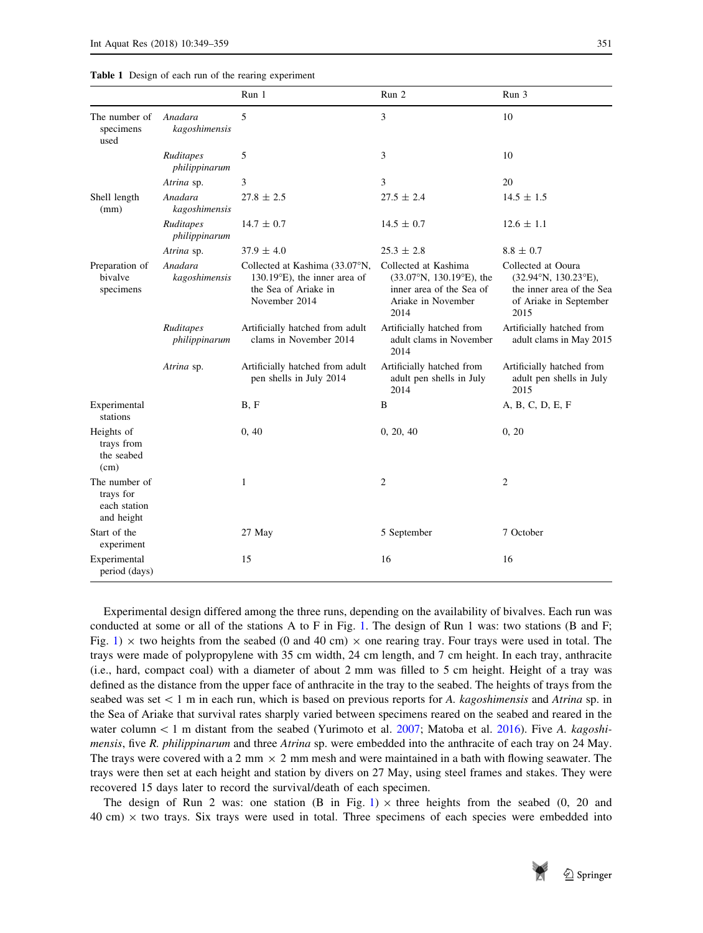<span id="page-2-0"></span>

|  |  |  |  |  |  | <b>Table 1</b> Design of each run of the rearing experiment |
|--|--|--|--|--|--|-------------------------------------------------------------|
|--|--|--|--|--|--|-------------------------------------------------------------|

|                                                          |                            | Run 1                                                                                                             | Run 2                                                                                                                       | Run 3                                                                                                                      |
|----------------------------------------------------------|----------------------------|-------------------------------------------------------------------------------------------------------------------|-----------------------------------------------------------------------------------------------------------------------------|----------------------------------------------------------------------------------------------------------------------------|
| The number of<br>specimens<br>used                       | Anadara<br>kagoshimensis   | 5                                                                                                                 | 3                                                                                                                           | 10                                                                                                                         |
|                                                          | Ruditapes<br>philippinarum | 5                                                                                                                 | 3                                                                                                                           | 10                                                                                                                         |
|                                                          | Atrina sp.                 | 3                                                                                                                 | 3                                                                                                                           | 20                                                                                                                         |
| Shell length<br>(mm)                                     | Anadara<br>kagoshimensis   | $27.8 \pm 2.5$                                                                                                    | $27.5 \pm 2.4$                                                                                                              | $14.5 \pm 1.5$                                                                                                             |
|                                                          | Ruditapes<br>philippinarum | $14.7 \pm 0.7$                                                                                                    | $14.5 \pm 0.7$                                                                                                              | $12.6 \pm 1.1$                                                                                                             |
|                                                          | Atrina sp.                 | $37.9 \pm 4.0$                                                                                                    | $25.3 \pm 2.8$                                                                                                              | $8.8 \pm 0.7$                                                                                                              |
| Preparation of<br>bivalve<br>specimens                   | Anadara<br>kagoshimensis   | Collected at Kashima (33.07°N,<br>$130.19^{\circ}$ E), the inner area of<br>the Sea of Ariake in<br>November 2014 | Collected at Kashima<br>$(33.07^{\circ}N, 130.19^{\circ}E)$ , the<br>inner area of the Sea of<br>Ariake in November<br>2014 | Collected at Ooura<br>$(32.94^{\circ}N, 130.23^{\circ}E)$ ,<br>the inner area of the Sea<br>of Ariake in September<br>2015 |
|                                                          | Ruditapes<br>philippinarum | Artificially hatched from adult<br>clams in November 2014                                                         | Artificially hatched from<br>adult clams in November<br>2014                                                                | Artificially hatched from<br>adult clams in May 2015                                                                       |
|                                                          | Atrina sp.                 | Artificially hatched from adult<br>pen shells in July 2014                                                        | Artificially hatched from<br>adult pen shells in July<br>2014                                                               | Artificially hatched from<br>adult pen shells in July<br>2015                                                              |
| Experimental<br>stations                                 |                            | B, F                                                                                                              | B                                                                                                                           | A, B, C, D, E, F                                                                                                           |
| Heights of<br>trays from<br>the seabed<br>(cm)           |                            | 0, 40                                                                                                             | 0, 20, 40                                                                                                                   | 0, 20                                                                                                                      |
| The number of<br>trays for<br>each station<br>and height |                            | 1                                                                                                                 | $\overline{2}$                                                                                                              | $\overline{2}$                                                                                                             |
| Start of the<br>experiment                               |                            | 27 May                                                                                                            | 5 September                                                                                                                 | 7 October                                                                                                                  |
| Experimental<br>period (days)                            |                            | 15                                                                                                                | 16                                                                                                                          | 16                                                                                                                         |

Experimental design differed among the three runs, depending on the availability of bivalves. Each run was conducted at some or all of the stations A to F in Fig. [1.](#page-3-0) The design of Run 1 was: two stations (B and F; Fig. [1\)](#page-3-0)  $\times$  two heights from the seabed (0 and 40 cm)  $\times$  one rearing tray. Four trays were used in total. The trays were made of polypropylene with 35 cm width, 24 cm length, and 7 cm height. In each tray, anthracite (i.e., hard, compact coal) with a diameter of about 2 mm was filled to 5 cm height. Height of a tray was defined as the distance from the upper face of anthracite in the tray to the seabed. The heights of trays from the seabed was set  $\lt 1$  m in each run, which is based on previous reports for A. kagoshimensis and Atrina sp. in the Sea of Ariake that survival rates sharply varied between specimens reared on the seabed and reared in the water column  $\lt 1$  m distant from the seabed (Yurimoto et al. [2007](#page-10-0); Matoba et al. [2016](#page-9-0)). Five A. kagoshimensis, five R. philippinarum and three Atrina sp. were embedded into the anthracite of each tray on 24 May. The trays were covered with a 2 mm  $\times$  2 mm mesh and were maintained in a bath with flowing seawater. The trays were then set at each height and station by divers on 27 May, using steel frames and stakes. They were recovered 15 days later to record the survival/death of each specimen.

The design of Run 2 was: one station (B in Fig. [1\)](#page-3-0)  $\times$  three heights from the seabed (0, 20 and  $40 \text{ cm}$ )  $\times$  two trays. Six trays were used in total. Three specimens of each species were embedded into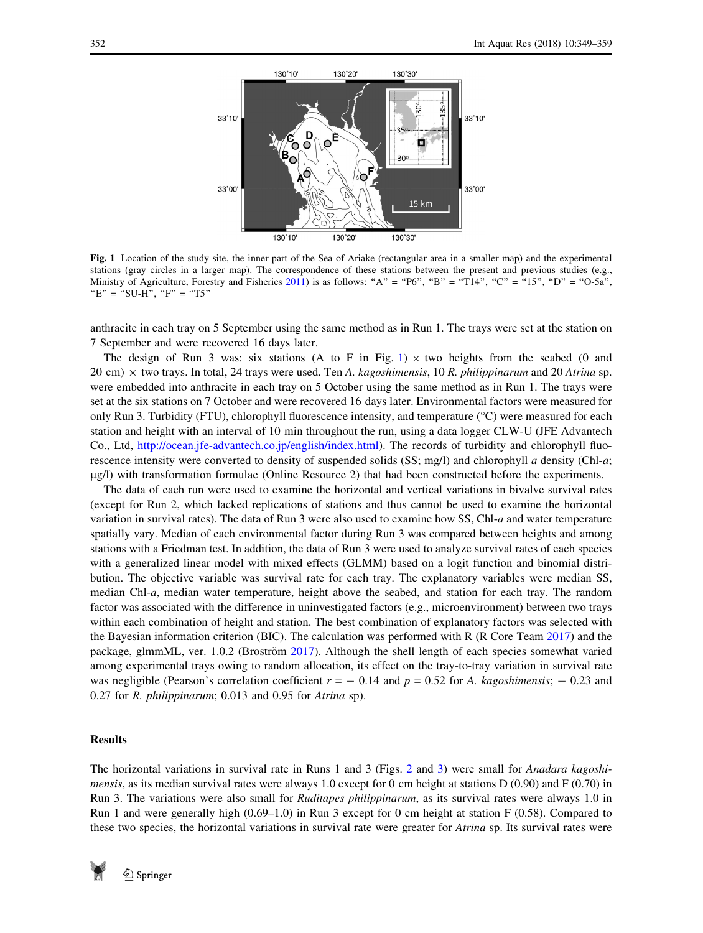<span id="page-3-0"></span>

Fig. 1 Location of the study site, the inner part of the Sea of Ariake (rectangular area in a smaller map) and the experimental stations (gray circles in a larger map). The correspondence of these stations between the present and previous studies (e.g., Ministry of Agriculture, Forestry and Fisheries [2011](#page-9-0)) is as follows: "A" = "P6", "B" = "T14", "C" = "15", "D" = "O-5a",  $E" = "SU-H", "F" = "T5"$ 

anthracite in each tray on 5 September using the same method as in Run 1. The trays were set at the station on 7 September and were recovered 16 days later.

The design of Run 3 was: six stations (A to F in Fig. 1)  $\times$  two heights from the seabed (0 and 20 cm)  $\times$  two trays. In total, 24 trays were used. Ten A. kagoshimensis, 10 R. philippinarum and 20 Atrina sp. were embedded into anthracite in each tray on 5 October using the same method as in Run 1. The trays were set at the six stations on 7 October and were recovered 16 days later. Environmental factors were measured for only Run 3. Turbidity (FTU), chlorophyll fluorescence intensity, and temperature  $({}^{\circ}C)$  were measured for each station and height with an interval of 10 min throughout the run, using a data logger CLW-U (JFE Advantech Co., Ltd, <http://ocean.jfe-advantech.co.jp/english/index.html>). The records of turbidity and chlorophyll fluorescence intensity were converted to density of suspended solids (SS; mg/l) and chlorophyll a density (Chl-a; lg/l) with transformation formulae (Online Resource 2) that had been constructed before the experiments.

The data of each run were used to examine the horizontal and vertical variations in bivalve survival rates (except for Run 2, which lacked replications of stations and thus cannot be used to examine the horizontal variation in survival rates). The data of Run 3 were also used to examine how SS, Chl-a and water temperature spatially vary. Median of each environmental factor during Run 3 was compared between heights and among stations with a Friedman test. In addition, the data of Run 3 were used to analyze survival rates of each species with a generalized linear model with mixed effects (GLMM) based on a logit function and binomial distribution. The objective variable was survival rate for each tray. The explanatory variables were median SS, median Chl-a, median water temperature, height above the seabed, and station for each tray. The random factor was associated with the difference in uninvestigated factors (e.g., microenvironment) between two trays within each combination of height and station. The best combination of explanatory factors was selected with the Bayesian information criterion (BIC). The calculation was performed with R (R Core Team [2017](#page-10-0)) and the package, glmmML, ver. 1.0.2 (Broström [2017](#page-9-0)). Although the shell length of each species somewhat varied among experimental trays owing to random allocation, its effect on the tray-to-tray variation in survival rate was negligible (Pearson's correlation coefficient  $r = -0.14$  and  $p = 0.52$  for A. kagoshimensis;  $-0.23$  and 0.27 for R. philippinarum; 0.013 and 0.95 for Atrina sp).

## Results

The horizontal variations in survival rate in Runs 1 and 3 (Figs. [2](#page-4-0) and [3\)](#page-4-0) were small for *Anadara kagoshimensis*, as its median survival rates were always 1.0 except for 0 cm height at stations D (0.90) and F (0.70) in Run 3. The variations were also small for Ruditapes philippinarum, as its survival rates were always 1.0 in Run 1 and were generally high (0.69–1.0) in Run 3 except for 0 cm height at station F (0.58). Compared to these two species, the horizontal variations in survival rate were greater for *Atrina* sp. Its survival rates were

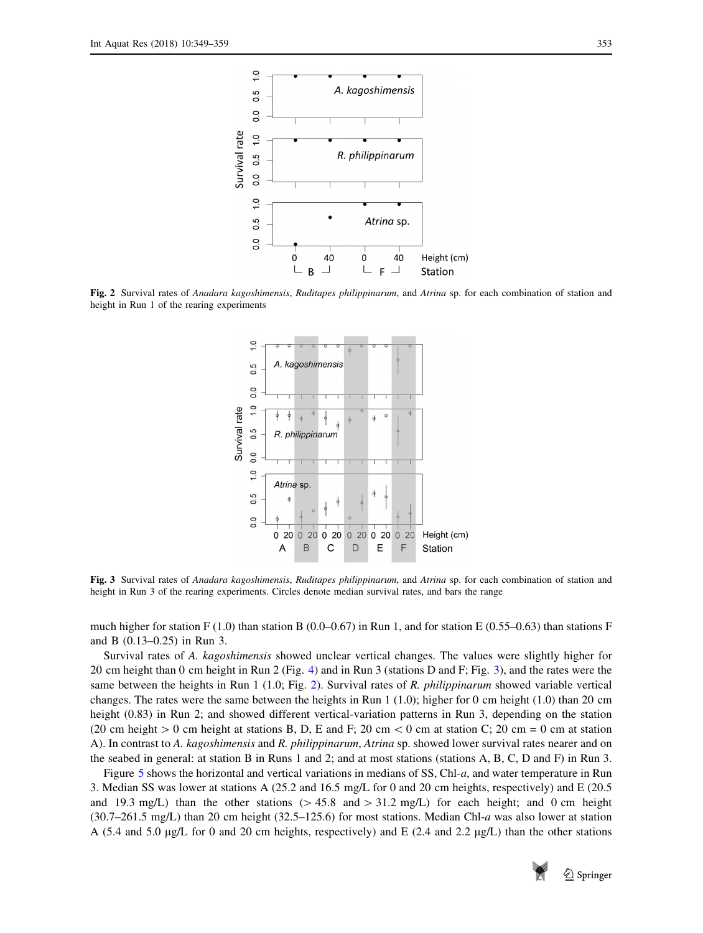<span id="page-4-0"></span>

Fig. 2 Survival rates of Anadara kagoshimensis, Ruditapes philippinarum, and Atrina sp. for each combination of station and height in Run 1 of the rearing experiments



Fig. 3 Survival rates of Anadara kagoshimensis, Ruditapes philippinarum, and Atrina sp. for each combination of station and height in Run 3 of the rearing experiments. Circles denote median survival rates, and bars the range

much higher for station F (1.0) than station B (0.0–0.67) in Run 1, and for station E (0.55–0.63) than stations F and B (0.13–0.25) in Run 3.

Survival rates of A. kagoshimensis showed unclear vertical changes. The values were slightly higher for 20 cm height than 0 cm height in Run 2 (Fig. [4](#page-5-0)) and in Run 3 (stations D and F; Fig. 3), and the rates were the same between the heights in Run 1 (1.0; Fig. 2). Survival rates of R. philippinarum showed variable vertical changes. The rates were the same between the heights in Run 1 (1.0); higher for 0 cm height (1.0) than 20 cm height (0.83) in Run 2; and showed different vertical-variation patterns in Run 3, depending on the station (20 cm height  $> 0$  cm height at stations B, D, E and F; 20 cm  $< 0$  cm at station C; 20 cm = 0 cm at station A). In contrast to A. kagoshimensis and R. philippinarum, Atrina sp. showed lower survival rates nearer and on the seabed in general: at station B in Runs 1 and 2; and at most stations (stations A, B, C, D and F) in Run 3.

Figure [5](#page-6-0) shows the horizontal and vertical variations in medians of SS, Chl-a, and water temperature in Run 3. Median SS was lower at stations A (25.2 and 16.5 mg/L for 0 and 20 cm heights, respectively) and E (20.5 and 19.3 mg/L) than the other stations ( $> 45.8$  and  $> 31.2$  mg/L) for each height; and 0 cm height (30.7–261.5 mg/L) than 20 cm height (32.5–125.6) for most stations. Median Chl-a was also lower at station A (5.4 and 5.0 µg/L for 0 and 20 cm heights, respectively) and E (2.4 and 2.2 µg/L) than the other stations

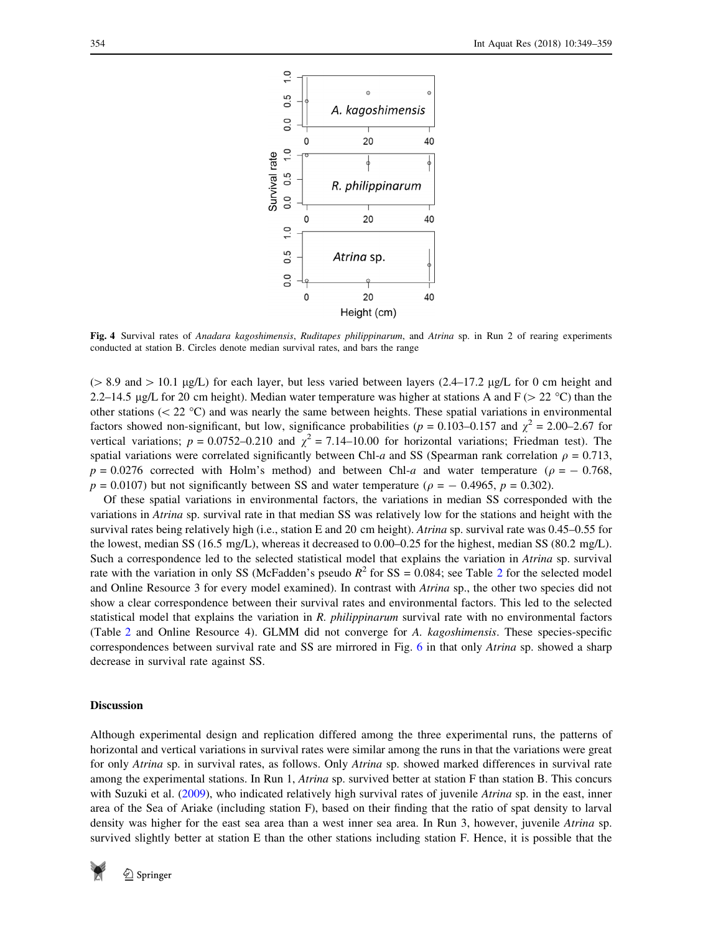<span id="page-5-0"></span>

Fig. 4 Survival rates of Anadara kagoshimensis, Ruditapes philippinarum, and Atrina sp. in Run 2 of rearing experiments conducted at station B. Circles denote median survival rates, and bars the range

( $> 8.9$  and  $> 10.1$  µg/L) for each layer, but less varied between layers (2.4–17.2 µg/L for 0 cm height and 2.2–14.5 µg/L for 20 cm height). Median water temperature was higher at stations A and  $F$  ( $>$  22 °C) than the other stations ( $\langle 22 \degree C \rangle$  and was nearly the same between heights. These spatial variations in environmental factors showed non-significant, but low, significance probabilities ( $p = 0.103 - 0.157$  and  $\chi^2 = 2.00 - 2.67$  for vertical variations;  $p = 0.0752 - 0.210$  and  $\chi^2 = 7.14 - 10.00$  for horizontal variations; Friedman test). The spatial variations were correlated significantly between Chl-a and SS (Spearman rank correlation  $\rho = 0.713$ ,  $p = 0.0276$  corrected with Holm's method) and between Chl-a and water temperature ( $\rho = -0.768$ ,  $p = 0.0107$ ) but not significantly between SS and water temperature ( $\rho = -0.4965$ ,  $p = 0.302$ ).

Of these spatial variations in environmental factors, the variations in median SS corresponded with the variations in Atrina sp. survival rate in that median SS was relatively low for the stations and height with the survival rates being relatively high (i.e., station E and 20 cm height). Atrina sp. survival rate was 0.45–0.55 for the lowest, median SS (16.5 mg/L), whereas it decreased to 0.00–0.25 for the highest, median SS (80.2 mg/L). Such a correspondence led to the selected statistical model that explains the variation in Atrina sp. survival rate with the variation in only SS (McFadden's pseudo  $R^2$  $R^2$  for SS = 0.084; see Table 2 for the selected model and Online Resource 3 for every model examined). In contrast with *Atrina* sp., the other two species did not show a clear correspondence between their survival rates and environmental factors. This led to the selected statistical model that explains the variation in R. philippinarum survival rate with no environmental factors (Table [2](#page-6-0) and Online Resource 4). GLMM did not converge for A. kagoshimensis. These species-specific correspondences between survival rate and SS are mirrored in Fig. [6](#page-7-0) in that only Atrina sp. showed a sharp decrease in survival rate against SS.

#### **Discussion**

Although experimental design and replication differed among the three experimental runs, the patterns of horizontal and vertical variations in survival rates were similar among the runs in that the variations were great for only Atrina sp. in survival rates, as follows. Only Atrina sp. showed marked differences in survival rate among the experimental stations. In Run 1, Atrina sp. survived better at station F than station B. This concurs with Suzuki et al. [\(2009](#page-10-0)), who indicated relatively high survival rates of juvenile Atrina sp. in the east, inner area of the Sea of Ariake (including station F), based on their finding that the ratio of spat density to larval density was higher for the east sea area than a west inner sea area. In Run 3, however, juvenile Atrina sp. survived slightly better at station E than the other stations including station F. Hence, it is possible that the

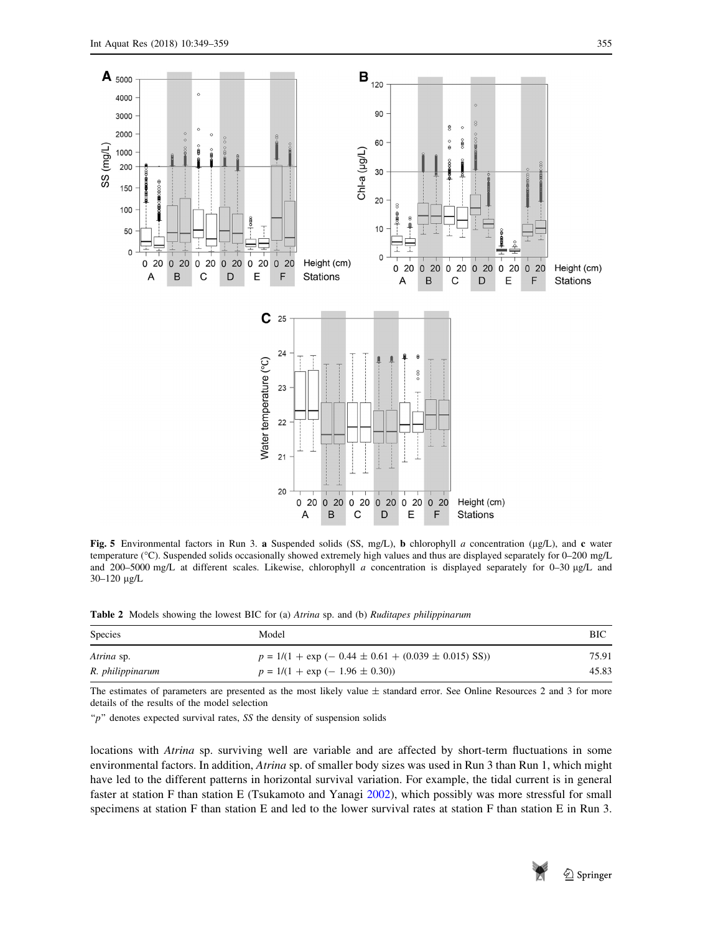

<span id="page-6-0"></span>

Fig. 5 Environmental factors in Run 3. a Suspended solids (SS, mg/L), b chlorophyll a concentration ( $\mu$ g/L), and c water temperature (°C). Suspended solids occasionally showed extremely high values and thus are displayed separately for 0–200 mg/L and 200–5000 mg/L at different scales. Likewise, chlorophyll a concentration is displayed separately for 0–30  $\mu$ g/L and  $30 - 120$  µg/L

Table 2 Models showing the lowest BIC for (a) Atrina sp. and (b) Ruditapes philippinarum

| <b>Species</b>   | Model                                                             | BIC   |
|------------------|-------------------------------------------------------------------|-------|
| Atrina sp.       | $p = 1/(1 + \exp(-0.44 \pm 0.61 + (0.039 \pm 0.015) \text{ SS}))$ | 75.91 |
| R. philippinarum | $p = 1/(1 + \exp(-1.96 \pm 0.30))$                                | 45.83 |

The estimates of parameters are presented as the most likely value  $\pm$  standard error. See Online Resources 2 and 3 for more details of the results of the model selection

" $p$ " denotes expected survival rates, SS the density of suspension solids

locations with *Atrina* sp. surviving well are variable and are affected by short-term fluctuations in some environmental factors. In addition, Atrina sp. of smaller body sizes was used in Run 3 than Run 1, which might have led to the different patterns in horizontal survival variation. For example, the tidal current is in general faster at station F than station E (Tsukamoto and Yanagi [2002\)](#page-10-0), which possibly was more stressful for small specimens at station F than station E and led to the lower survival rates at station F than station E in Run 3.

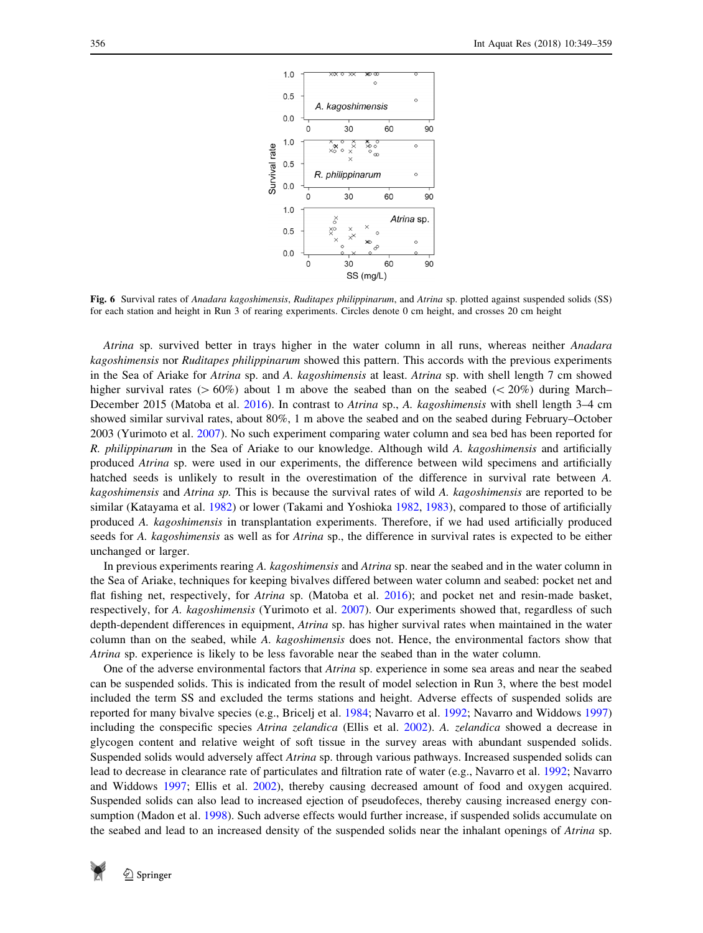<span id="page-7-0"></span>

Fig. 6 Survival rates of Anadara kagoshimensis, Ruditapes philippinarum, and Atrina sp. plotted against suspended solids (SS) for each station and height in Run 3 of rearing experiments. Circles denote 0 cm height, and crosses 20 cm height

Atrina sp. survived better in trays higher in the water column in all runs, whereas neither Anadara kagoshimensis nor Ruditapes philippinarum showed this pattern. This accords with the previous experiments in the Sea of Ariake for Atrina sp. and A. kagoshimensis at least. Atrina sp. with shell length 7 cm showed higher survival rates ( $> 60\%$ ) about 1 m above the seabed than on the seabed ( $< 20\%$ ) during March– December 2015 (Matoba et al. [2016\)](#page-9-0). In contrast to Atrina sp., A. kagoshimensis with shell length 3–4 cm showed similar survival rates, about 80%, 1 m above the seabed and on the seabed during February–October 2003 (Yurimoto et al. [2007\)](#page-10-0). No such experiment comparing water column and sea bed has been reported for R. philippinarum in the Sea of Ariake to our knowledge. Although wild A. kagoshimensis and artificially produced Atrina sp. were used in our experiments, the difference between wild specimens and artificially hatched seeds is unlikely to result in the overestimation of the difference in survival rate between A. kagoshimensis and Atrina sp. This is because the survival rates of wild A. kagoshimensis are reported to be similar (Katayama et al. [1982\)](#page-9-0) or lower (Takami and Yoshioka [1982](#page-10-0), [1983\)](#page-10-0), compared to those of artificially produced A. kagoshimensis in transplantation experiments. Therefore, if we had used artificially produced seeds for A. kagoshimensis as well as for Atrina sp., the difference in survival rates is expected to be either unchanged or larger.

In previous experiments rearing A. kagoshimensis and Atrina sp. near the seabed and in the water column in the Sea of Ariake, techniques for keeping bivalves differed between water column and seabed: pocket net and flat fishing net, respectively, for Atrina sp. (Matoba et al. [2016\)](#page-9-0); and pocket net and resin-made basket, respectively, for A. kagoshimensis (Yurimoto et al. [2007](#page-10-0)). Our experiments showed that, regardless of such depth-dependent differences in equipment, Atrina sp. has higher survival rates when maintained in the water column than on the seabed, while A. kagoshimensis does not. Hence, the environmental factors show that Atrina sp. experience is likely to be less favorable near the seabed than in the water column.

One of the adverse environmental factors that Atrina sp. experience in some sea areas and near the seabed can be suspended solids. This is indicated from the result of model selection in Run 3, where the best model included the term SS and excluded the terms stations and height. Adverse effects of suspended solids are reported for many bivalve species (e.g., Bricelj et al. [1984](#page-9-0); Navarro et al. [1992;](#page-10-0) Navarro and Widdows [1997](#page-10-0)) including the conspecific species Atrina zelandica (Ellis et al. [2002](#page-9-0)). A. zelandica showed a decrease in glycogen content and relative weight of soft tissue in the survey areas with abundant suspended solids. Suspended solids would adversely affect Atrina sp. through various pathways. Increased suspended solids can lead to decrease in clearance rate of particulates and filtration rate of water (e.g., Navarro et al. [1992;](#page-10-0) Navarro and Widdows [1997](#page-10-0); Ellis et al. [2002\)](#page-9-0), thereby causing decreased amount of food and oxygen acquired. Suspended solids can also lead to increased ejection of pseudofeces, thereby causing increased energy consumption (Madon et al. [1998\)](#page-9-0). Such adverse effects would further increase, if suspended solids accumulate on the seabed and lead to an increased density of the suspended solids near the inhalant openings of Atrina sp.

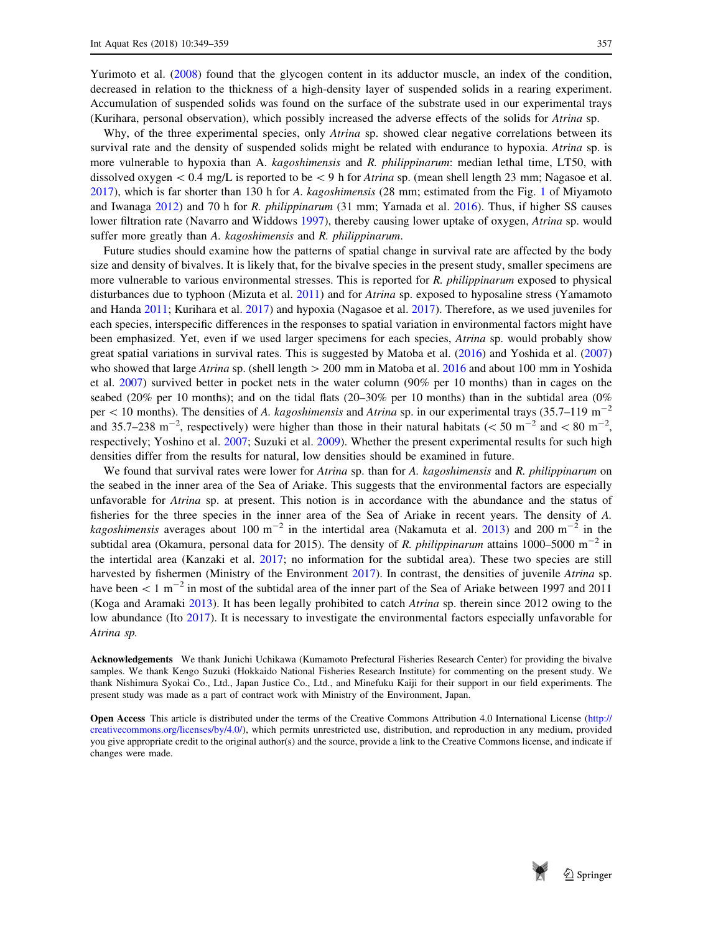Yurimoto et al. ([2008\)](#page-10-0) found that the glycogen content in its adductor muscle, an index of the condition, decreased in relation to the thickness of a high-density layer of suspended solids in a rearing experiment. Accumulation of suspended solids was found on the surface of the substrate used in our experimental trays (Kurihara, personal observation), which possibly increased the adverse effects of the solids for Atrina sp.

Why, of the three experimental species, only *Atrina* sp. showed clear negative correlations between its survival rate and the density of suspended solids might be related with endurance to hypoxia. Atrina sp. is more vulnerable to hypoxia than A. *kagoshimensis* and R. *philippinarum*: median lethal time, LT50, with dissolved oxygen  $\< 0.4$  mg/L is reported to be  $\< 9$  h for *Atrina* sp. (mean shell length 23 mm; Nagasoe et al. [2017](#page-9-0)), which is far shorter than 130 h for A. kagoshimensis (28 mm; estimated from the Fig. [1](#page-3-0) of Miyamoto and Iwanaga [2012\)](#page-9-0) and 70 h for R. philippinarum (31 mm; Yamada et al. [2016\)](#page-10-0). Thus, if higher SS causes lower filtration rate (Navarro and Widdows [1997\)](#page-10-0), thereby causing lower uptake of oxygen, *Atrina* sp. would suffer more greatly than A. kagoshimensis and R. philippinarum.

Future studies should examine how the patterns of spatial change in survival rate are affected by the body size and density of bivalves. It is likely that, for the bivalve species in the present study, smaller specimens are more vulnerable to various environmental stresses. This is reported for R. *philippinarum* exposed to physical disturbances due to typhoon (Mizuta et al. [2011](#page-9-0)) and for Atrina sp. exposed to hyposaline stress (Yamamoto and Handa [2011](#page-10-0); Kurihara et al. [2017](#page-9-0)) and hypoxia (Nagasoe et al. [2017\)](#page-9-0). Therefore, as we used juveniles for each species, interspecific differences in the responses to spatial variation in environmental factors might have been emphasized. Yet, even if we used larger specimens for each species, Atrina sp. would probably show great spatial variations in survival rates. This is suggested by Matoba et al. ([2016\)](#page-9-0) and Yoshida et al. [\(2007](#page-10-0)) who showed that large Atrina sp. (shell length  $> 200$  mm in Matoba et al. [2016](#page-9-0) and about 100 mm in Yoshida et al. [2007](#page-10-0)) survived better in pocket nets in the water column (90% per 10 months) than in cages on the seabed (20% per 10 months); and on the tidal flats (20–30% per 10 months) than in the subtidal area (0% per  $\lt$  10 months). The densities of A. kagoshimensis and Atrina sp. in our experimental trays (35.7–119 m<sup>-2</sup>) and 35.7–238 m<sup>-2</sup>, respectively) were higher than those in their natural habitats ( $\lt$  50 m<sup>-2</sup> and  $\lt$  80 m<sup>-2</sup>, respectively; Yoshino et al. [2007;](#page-10-0) Suzuki et al. [2009\)](#page-10-0). Whether the present experimental results for such high densities differ from the results for natural, low densities should be examined in future.

We found that survival rates were lower for Atrina sp. than for A. kagoshimensis and R. philippinarum on the seabed in the inner area of the Sea of Ariake. This suggests that the environmental factors are especially unfavorable for Atrina sp. at present. This notion is in accordance with the abundance and the status of fisheries for the three species in the inner area of the Sea of Ariake in recent years. The density of A. kagoshimensis averages about 100 m<sup>-2</sup> in the intertidal area (Nakamuta et al. [2013](#page-9-0)) and 200 m<sup>-2</sup> in the subtidal area (Okamura, personal data for 2015). The density of R. philippinarum attains 1000–5000 m<sup>-2</sup> in the intertidal area (Kanzaki et al. [2017](#page-9-0); no information for the subtidal area). These two species are still harvested by fishermen (Ministry of the Environment [2017\)](#page-9-0). In contrast, the densities of juvenile Atrina sp. have been  $\lt 1$  m<sup>-2</sup> in most of the subtidal area of the inner part of the Sea of Ariake between 1997 and 2011 (Koga and Aramaki [2013](#page-9-0)). It has been legally prohibited to catch Atrina sp. therein since 2012 owing to the low abundance (Ito [2017](#page-9-0)). It is necessary to investigate the environmental factors especially unfavorable for Atrina sp.

Acknowledgements We thank Junichi Uchikawa (Kumamoto Prefectural Fisheries Research Center) for providing the bivalve samples. We thank Kengo Suzuki (Hokkaido National Fisheries Research Institute) for commenting on the present study. We thank Nishimura Syokai Co., Ltd., Japan Justice Co., Ltd., and Minefuku Kaiji for their support in our field experiments. The present study was made as a part of contract work with Ministry of the Environment, Japan.

Open Access This article is distributed under the terms of the Creative Commons Attribution 4.0 International License [\(http://](http://creativecommons.org/licenses/by/4.0/) [creativecommons.org/licenses/by/4.0/](http://creativecommons.org/licenses/by/4.0/)), which permits unrestricted use, distribution, and reproduction in any medium, provided you give appropriate credit to the original author(s) and the source, provide a link to the Creative Commons license, and indicate if changes were made.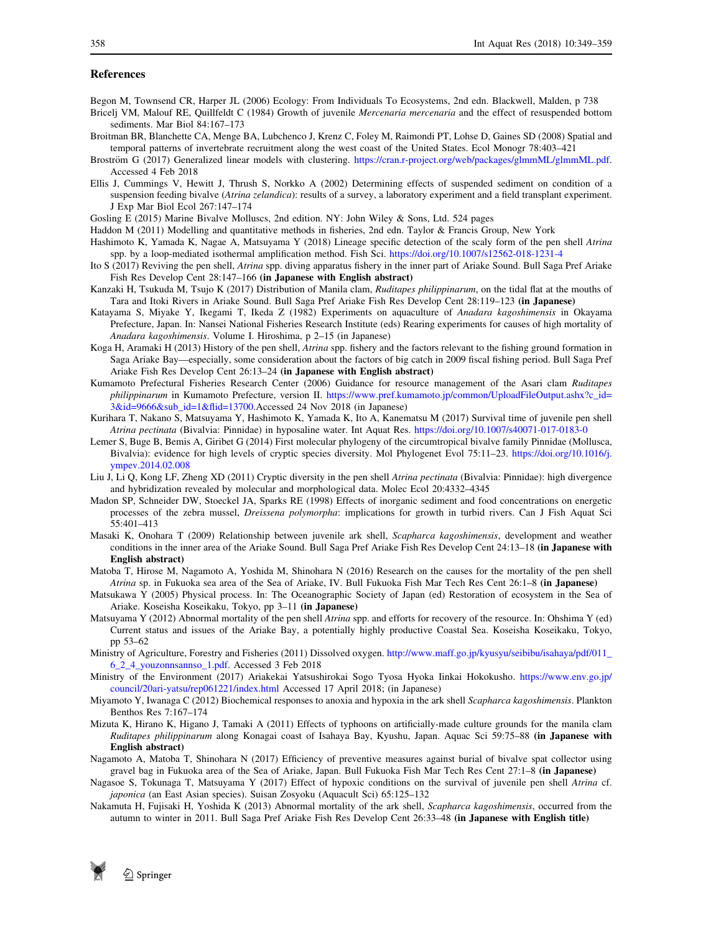#### <span id="page-9-0"></span>References

- Begon M, Townsend CR, Harper JL (2006) Ecology: From Individuals To Ecosystems, 2nd edn. Blackwell, Malden, p 738
- Bricelj VM, Malouf RE, Quillfeldt C (1984) Growth of juvenile *Mercenaria mercenaria* and the effect of resuspended bottom sediments. Mar Biol 84:167–173
- Broitman BR, Blanchette CA, Menge BA, Lubchenco J, Krenz C, Foley M, Raimondi PT, Lohse D, Gaines SD (2008) Spatial and temporal patterns of invertebrate recruitment along the west coast of the United States. Ecol Monogr 78:403–421
- Broström G (2017) Generalized linear models with clustering. [https://cran.r-project.org/web/packages/glmmML/glmmML.pdf.](https://cran.r-project.org/web/packages/glmmML/glmmML.pdf) Accessed 4 Feb 2018
- Ellis J, Cummings V, Hewitt J, Thrush S, Norkko A (2002) Determining effects of suspended sediment on condition of a suspension feeding bivalve (Atrina zelandica): results of a survey, a laboratory experiment and a field transplant experiment. J Exp Mar Biol Ecol 267:147–174
- Gosling E (2015) Marine Bivalve Molluscs, 2nd edition. NY: John Wiley & Sons, Ltd. 524 pages
- Haddon M (2011) Modelling and quantitative methods in fisheries, 2nd edn. Taylor & Francis Group, New York
- Hashimoto K, Yamada K, Nagae A, Matsuyama Y (2018) Lineage specific detection of the scaly form of the pen shell Atrina spp. by a loop-mediated isothermal amplification method. Fish Sci. <https://doi.org/10.1007/s12562-018-1231-4>
- Ito S (2017) Reviving the pen shell, Atrina spp. diving apparatus fishery in the inner part of Ariake Sound. Bull Saga Pref Ariake Fish Res Develop Cent 28:147–166 (in Japanese with English abstract)
- Kanzaki H, Tsukuda M, Tsujo K (2017) Distribution of Manila clam, Ruditapes philippinarum, on the tidal flat at the mouths of Tara and Itoki Rivers in Ariake Sound. Bull Saga Pref Ariake Fish Res Develop Cent 28:119–123 (in Japanese)
- Katayama S, Miyake Y, Ikegami T, Ikeda Z (1982) Experiments on aquaculture of Anadara kagoshimensis in Okayama Prefecture, Japan. In: Nansei National Fisheries Research Institute (eds) Rearing experiments for causes of high mortality of Anadara kagoshimensis. Volume I. Hiroshima, p 2–15 (in Japanese)
- Koga H, Aramaki H (2013) History of the pen shell, Atrina spp. fishery and the factors relevant to the fishing ground formation in Saga Ariake Bay—especially, some consideration about the factors of big catch in 2009 fiscal fishing period. Bull Saga Pref Ariake Fish Res Develop Cent 26:13–24 (in Japanese with English abstract)
- Kumamoto Prefectural Fisheries Research Center (2006) Guidance for resource management of the Asari clam Ruditapes philippinarum in Kumamoto Prefecture, version II. [https://www.pref.kumamoto.jp/common/UploadFileOutput.ashx?c\\_id=](https://www.pref.kumamoto.jp/common/UploadFileOutput.ashx%3fc_id%3d3%26id%3d9666%26sub_id%3d1%26flid%3d13700) [3&id=9666&sub\\_id=1&flid=13700.](https://www.pref.kumamoto.jp/common/UploadFileOutput.ashx%3fc_id%3d3%26id%3d9666%26sub_id%3d1%26flid%3d13700)Accessed 24 Nov 2018 (in Japanese)
- Kurihara T, Nakano S, Matsuyama Y, Hashimoto K, Yamada K, Ito A, Kanematsu M (2017) Survival time of juvenile pen shell Atrina pectinata (Bivalvia: Pinnidae) in hyposaline water. Int Aquat Res. <https://doi.org/10.1007/s40071-017-0183-0>
- Lemer S, Buge B, Bemis A, Giribet G (2014) First molecular phylogeny of the circumtropical bivalve family Pinnidae (Mollusca, Bivalvia): evidence for high levels of cryptic species diversity. Mol Phylogenet Evol 75:11–23. [https://doi.org/10.1016/j.](https://doi.org/10.1016/j.ympev.2014.02.008) [ympev.2014.02.008](https://doi.org/10.1016/j.ympev.2014.02.008)
- Liu J, Li Q, Kong LF, Zheng XD (2011) Cryptic diversity in the pen shell Atrina pectinata (Bivalvia: Pinnidae): high divergence and hybridization revealed by molecular and morphological data. Molec Ecol 20:4332–4345
- Madon SP, Schneider DW, Stoeckel JA, Sparks RE (1998) Effects of inorganic sediment and food concentrations on energetic processes of the zebra mussel, Dreissena polymorpha: implications for growth in turbid rivers. Can J Fish Aquat Sci 55:401–413
- Masaki K, Onohara T (2009) Relationship between juvenile ark shell, Scapharca kagoshimensis, development and weather conditions in the inner area of the Ariake Sound. Bull Saga Pref Ariake Fish Res Develop Cent 24:13–18 (in Japanese with English abstract)
- Matoba T, Hirose M, Nagamoto A, Yoshida M, Shinohara N (2016) Research on the causes for the mortality of the pen shell Atrina sp. in Fukuoka sea area of the Sea of Ariake, IV. Bull Fukuoka Fish Mar Tech Res Cent 26:1–8 (in Japanese)
- Matsukawa Y (2005) Physical process. In: The Oceanographic Society of Japan (ed) Restoration of ecosystem in the Sea of Ariake. Koseisha Koseikaku, Tokyo, pp 3–11 (in Japanese)
- Matsuyama Y (2012) Abnormal mortality of the pen shell Atrina spp. and efforts for recovery of the resource. In: Ohshima Y (ed) Current status and issues of the Ariake Bay, a potentially highly productive Coastal Sea. Koseisha Koseikaku, Tokyo, pp 53–62
- Ministry of Agriculture, Forestry and Fisheries (2011) Dissolved oxygen. [http://www.maff.go.jp/kyusyu/seibibu/isahaya/pdf/011\\_](http://www.maff.go.jp/kyusyu/seibibu/isahaya/pdf/011_6_2_4_youzonnsannso_1.pdf) [6\\_2\\_4\\_youzonnsannso\\_1.pdf](http://www.maff.go.jp/kyusyu/seibibu/isahaya/pdf/011_6_2_4_youzonnsannso_1.pdf). Accessed 3 Feb 2018
- Ministry of the Environment (2017) Ariakekai Yatsushirokai Sogo Tyosa Hyoka Iinkai Hokokusho. [https://www.env.go.jp/](https://www.env.go.jp/council/20ari-yatsu/rep061221/index.html) [council/20ari-yatsu/rep061221/index.html](https://www.env.go.jp/council/20ari-yatsu/rep061221/index.html) Accessed 17 April 2018; (in Japanese)
- Miyamoto Y, Iwanaga C (2012) Biochemical responses to anoxia and hypoxia in the ark shell Scapharca kagoshimensis. Plankton Benthos Res 7:167–174
- Mizuta K, Hirano K, Higano J, Tamaki A (2011) Effects of typhoons on artificially-made culture grounds for the manila clam Ruditapes philippinarum along Konagai coast of Isahaya Bay, Kyushu, Japan. Aquac Sci 59:75-88 (in Japanese with English abstract)
- Nagamoto A, Matoba T, Shinohara N (2017) Efficiency of preventive measures against burial of bivalve spat collector using gravel bag in Fukuoka area of the Sea of Ariake, Japan. Bull Fukuoka Fish Mar Tech Res Cent 27:1–8 (in Japanese)
- Nagasoe S, Tokunaga T, Matsuyama Y (2017) Effect of hypoxic conditions on the survival of juvenile pen shell Atrina cf. japonica (an East Asian species). Suisan Zosyoku (Aquacult Sci) 65:125–132
- Nakamuta H, Fujisaki H, Yoshida K (2013) Abnormal mortality of the ark shell, Scapharca kagoshimensis, occurred from the autumn to winter in 2011. Bull Saga Pref Ariake Fish Res Develop Cent 26:33–48 (in Japanese with English title)